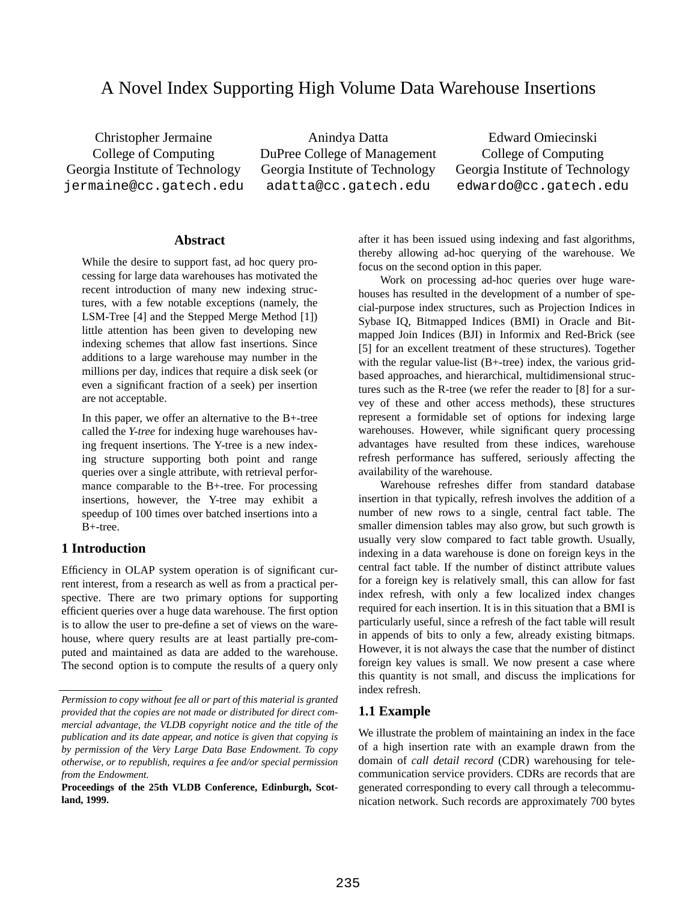# A Novel Index Supporting High Volume Data Warehouse Insertions

Christopher Jermaine College of Computing Georgia Institute of Technology jermaine@cc.gatech.edu

Anindya Datta DuPree College of Management Georgia Institute of Technology adatta@cc.gatech.edu

Edward Omiecinski College of Computing Georgia Institute of Technology edwardo@cc.gatech.edu

### **Abstract**

While the desire to support fast, ad hoc query processing for large data warehouses has motivated the recent introduction of many new indexing structures, with a few notable exceptions (namely, the LSM-Tree [4] and the Stepped Merge Method [1]) little attention has been given to developing new indexing schemes that allow fast insertions. Since additions to a large warehouse may number in the millions per day, indices that require a disk seek (or even a significant fraction of a seek) per insertion are not acceptable.

In this paper, we offer an alternative to the B+-tree called the *Y-tree* for indexing huge warehouses having frequent insertions. The Y-tree is a new indexing structure supporting both point and range queries over a single attribute, with retrieval performance comparable to the B+-tree. For processing insertions, however, the Y-tree may exhibit a speedup of 100 times over batched insertions into a B+-tree.

### **1 Introduction**

Efficiency in OLAP system operation is of significant current interest, from a research as well as from a practical perspective. There are two primary options for supporting efficient queries over a huge data warehouse. The first option is to allow the user to pre-define a set of views on the warehouse, where query results are at least partially pre-computed and maintained as data are added to the warehouse. The second option is to compute the results of a query only after it has been issued using indexing and fast algorithms, thereby allowing ad-hoc querying of the warehouse. We focus on the second option in this paper.

Work on processing ad-hoc queries over huge warehouses has resulted in the development of a number of special-purpose index structures, such as Projection Indices in Sybase IQ, Bitmapped Indices (BMI) in Oracle and Bitmapped Join Indices (BJI) in Informix and Red-Brick (see [5] for an excellent treatment of these structures). Together with the regular value-list (B+-tree) index, the various gridbased approaches, and hierarchical, multidimensional structures such as the R-tree (we refer the reader to [8] for a survey of these and other access methods), these structures represent a formidable set of options for indexing large warehouses. However, while significant query processing advantages have resulted from these indices, warehouse refresh performance has suffered, seriously affecting the availability of the warehouse.

Warehouse refreshes differ from standard database insertion in that typically, refresh involves the addition of a number of new rows to a single, central fact table. The smaller dimension tables may also grow, but such growth is usually very slow compared to fact table growth. Usually, indexing in a data warehouse is done on foreign keys in the central fact table. If the number of distinct attribute values for a foreign key is relatively small, this can allow for fast index refresh, with only a few localized index changes required for each insertion. It is in this situation that a BMI is particularly useful, since a refresh of the fact table will result in appends of bits to only a few, already existing bitmaps. However, it is not always the case that the number of distinct foreign key values is small. We now present a case where this quantity is not small, and discuss the implications for index refresh.

### **1.1 Example**

We illustrate the problem of maintaining an index in the face of a high insertion rate with an example drawn from the domain of *call detail record* (CDR) warehousing for telecommunication service providers. CDRs are records that are generated corresponding to every call through a telecommunication network. Such records are approximately 700 bytes

*Permission to copy without fee all or part of this material is granted provided that the copies are not made or distributed for direct commercial advantage, the VLDB copyright notice and the title of the publication and its date appear, and notice is given that copying is by permission of the Very Large Data Base Endowment. To copy otherwise, or to republish, requires a fee and/or special permission from the Endowment.*

**Proceedings of the 25th VLDB Conference, Edinburgh, Scotland, 1999.**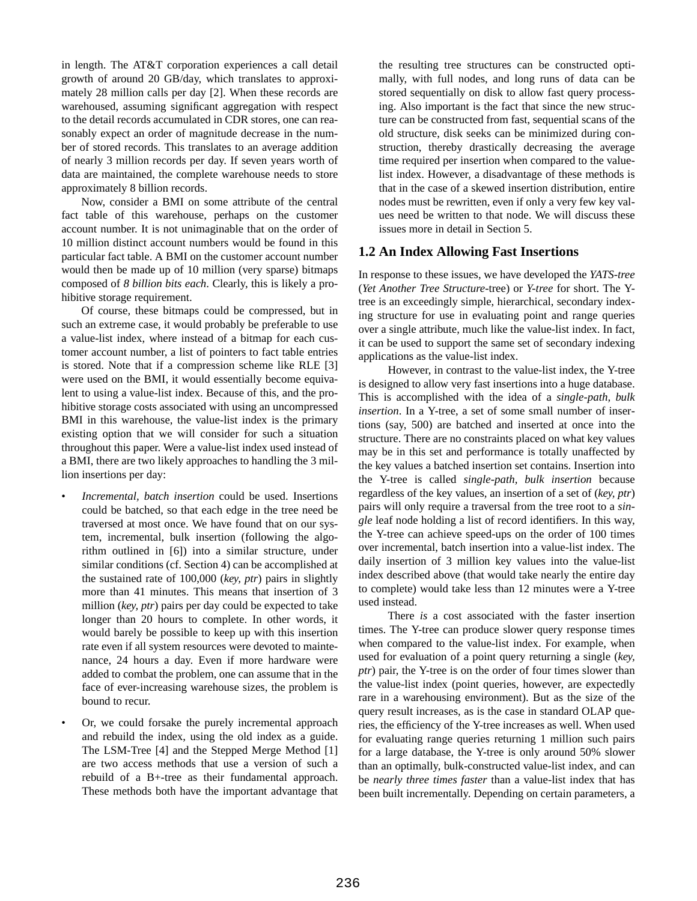in length. The AT&T corporation experiences a call detail growth of around 20 GB/day, which translates to approximately 28 million calls per day [2]. When these records are warehoused, assuming significant aggregation with respect to the detail records accumulated in CDR stores, one can reasonably expect an order of magnitude decrease in the number of stored records. This translates to an average addition of nearly 3 million records per day. If seven years worth of data are maintained, the complete warehouse needs to store approximately 8 billion records.

Now, consider a BMI on some attribute of the central fact table of this warehouse, perhaps on the customer account number. It is not unimaginable that on the order of 10 million distinct account numbers would be found in this particular fact table. A BMI on the customer account number would then be made up of 10 million (very sparse) bitmaps composed of *8 billion bits each*. Clearly, this is likely a prohibitive storage requirement.

Of course, these bitmaps could be compressed, but in such an extreme case, it would probably be preferable to use a value-list index, where instead of a bitmap for each customer account number, a list of pointers to fact table entries is stored. Note that if a compression scheme like RLE [3] were used on the BMI, it would essentially become equivalent to using a value-list index. Because of this, and the prohibitive storage costs associated with using an uncompressed BMI in this warehouse, the value-list index is the primary existing option that we will consider for such a situation throughout this paper. Were a value-list index used instead of a BMI, there are two likely approaches to handling the 3 million insertions per day:

- *Incremental, batch insertion* could be used. Insertions could be batched, so that each edge in the tree need be traversed at most once. We have found that on our system, incremental, bulk insertion (following the algorithm outlined in [6]) into a similar structure, under similar conditions (cf. Section 4) can be accomplished at the sustained rate of 100,000 (*key, ptr*) pairs in slightly more than 41 minutes. This means that insertion of 3 million (*key, ptr*) pairs per day could be expected to take longer than 20 hours to complete. In other words, it would barely be possible to keep up with this insertion rate even if all system resources were devoted to maintenance, 24 hours a day. Even if more hardware were added to combat the problem, one can assume that in the face of ever-increasing warehouse sizes, the problem is bound to recur.
- Or, we could forsake the purely incremental approach and rebuild the index, using the old index as a guide. The LSM-Tree [4] and the Stepped Merge Method [1] are two access methods that use a version of such a rebuild of a B+-tree as their fundamental approach. These methods both have the important advantage that

the resulting tree structures can be constructed optimally, with full nodes, and long runs of data can be stored sequentially on disk to allow fast query processing. Also important is the fact that since the new structure can be constructed from fast, sequential scans of the old structure, disk seeks can be minimized during construction, thereby drastically decreasing the average time required per insertion when compared to the valuelist index. However, a disadvantage of these methods is that in the case of a skewed insertion distribution, entire nodes must be rewritten, even if only a very few key values need be written to that node. We will discuss these issues more in detail in Section 5.

### **1.2 An Index Allowing Fast Insertions**

In response to these issues, we have developed the *YATS-tree* (*Yet Another Tree Structure*-tree) or *Y-tree* for short. The Ytree is an exceedingly simple, hierarchical, secondary indexing structure for use in evaluating point and range queries over a single attribute, much like the value-list index. In fact, it can be used to support the same set of secondary indexing applications as the value-list index.

However, in contrast to the value-list index, the Y-tree is designed to allow very fast insertions into a huge database. This is accomplished with the idea of a *single-path, bulk insertion*. In a Y-tree, a set of some small number of insertions (say, 500) are batched and inserted at once into the structure. There are no constraints placed on what key values may be in this set and performance is totally unaffected by the key values a batched insertion set contains. Insertion into the Y-tree is called *single-path, bulk insertion* because regardless of the key values, an insertion of a set of (*key, ptr*) pairs will only require a traversal from the tree root to a *single* leaf node holding a list of record identifiers. In this way, the Y-tree can achieve speed-ups on the order of 100 times over incremental, batch insertion into a value-list index. The daily insertion of 3 million key values into the value-list index described above (that would take nearly the entire day to complete) would take less than 12 minutes were a Y-tree used instead.

There *is* a cost associated with the faster insertion times. The Y-tree can produce slower query response times when compared to the value-list index. For example, when used for evaluation of a point query returning a single (*key, ptr*) pair, the Y-tree is on the order of four times slower than the value-list index (point queries, however, are expectedly rare in a warehousing environment). But as the size of the query result increases, as is the case in standard OLAP queries, the efficiency of the Y-tree increases as well. When used for evaluating range queries returning 1 million such pairs for a large database, the Y-tree is only around 50% slower than an optimally, bulk-constructed value-list index, and can be *nearly three times faster* than a value-list index that has been built incrementally. Depending on certain parameters, a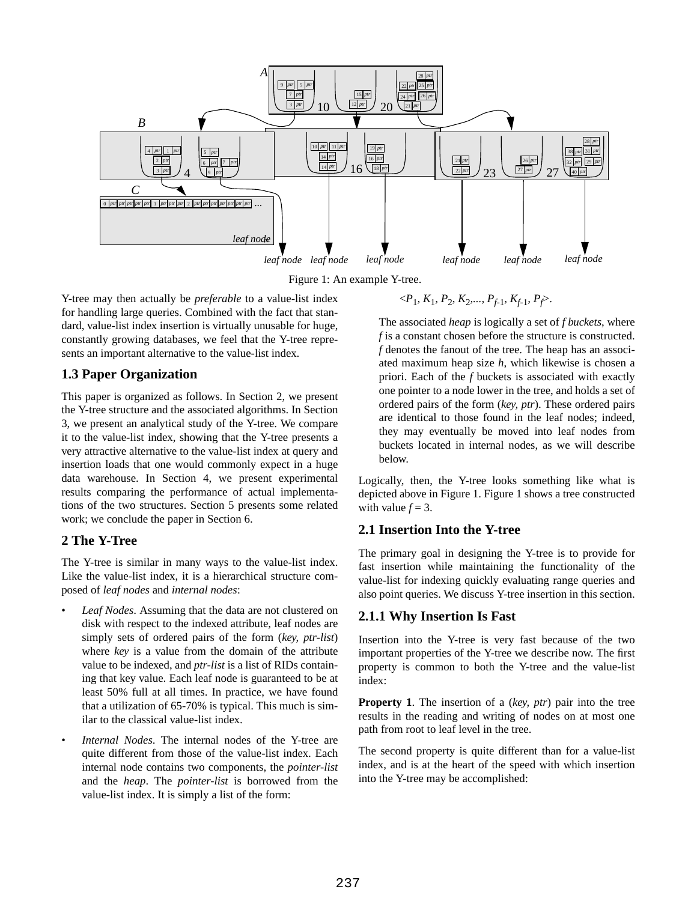

Figure 1: An example Y-tree.

Y-tree may then actually be *preferable* to a value-list index for handling large queries. Combined with the fact that standard, value-list index insertion is virtually unusable for huge, constantly growing databases, we feel that the Y-tree represents an important alternative to the value-list index.

## **1.3 Paper Organization**

This paper is organized as follows. In Section 2, we present the Y-tree structure and the associated algorithms. In Section 3, we present an analytical study of the Y-tree. We compare it to the value-list index, showing that the Y-tree presents a very attractive alternative to the value-list index at query and insertion loads that one would commonly expect in a huge data warehouse. In Section 4, we present experimental results comparing the performance of actual implementations of the two structures. Section 5 presents some related work; we conclude the paper in Section 6.

## **2 The Y-Tree**

The Y-tree is similar in many ways to the value-list index. Like the value-list index, it is a hierarchical structure composed of *leaf nodes* and *internal nodes*:

- Leaf Nodes. Assuming that the data are not clustered on disk with respect to the indexed attribute, leaf nodes are simply sets of ordered pairs of the form (*key, ptr-list*) where *key* is a value from the domain of the attribute value to be indexed, and *ptr-list* is a list of RIDs containing that key value. Each leaf node is guaranteed to be at least 50% full at all times. In practice, we have found that a utilization of 65-70% is typical. This much is similar to the classical value-list index.
- *Internal Nodes*. The internal nodes of the Y-tree are quite different from those of the value-list index. Each internal node contains two components, the *pointer-list* and the *heap*. The *pointer-list* is borrowed from the value-list index. It is simply a list of the form:

$$
\langle P_1, K_1, P_2, K_2, \dots, P_{f-1}, K_{f-1}, P_f \rangle.
$$

The associated *heap* is logically a set of *f buckets*, where *f* is a constant chosen before the structure is constructed. *f* denotes the fanout of the tree. The heap has an associated maximum heap size *h*, which likewise is chosen a priori. Each of the *f* buckets is associated with exactly one pointer to a node lower in the tree, and holds a set of ordered pairs of the form (*key, ptr*). These ordered pairs are identical to those found in the leaf nodes; indeed, they may eventually be moved into leaf nodes from buckets located in internal nodes, as we will describe below.

Logically, then, the Y-tree looks something like what is depicted above in Figure 1. Figure 1 shows a tree constructed with value  $f = 3$ .

## **2.1 Insertion Into the Y-tree**

The primary goal in designing the Y-tree is to provide for fast insertion while maintaining the functionality of the value-list for indexing quickly evaluating range queries and also point queries. We discuss Y-tree insertion in this section.

## **2.1.1 Why Insertion Is Fast**

Insertion into the Y-tree is very fast because of the two important properties of the Y-tree we describe now. The first property is common to both the Y-tree and the value-list index:

**Property 1**. The insertion of a (*key, ptr*) pair into the tree results in the reading and writing of nodes on at most one path from root to leaf level in the tree.

The second property is quite different than for a value-list index, and is at the heart of the speed with which insertion into the Y-tree may be accomplished: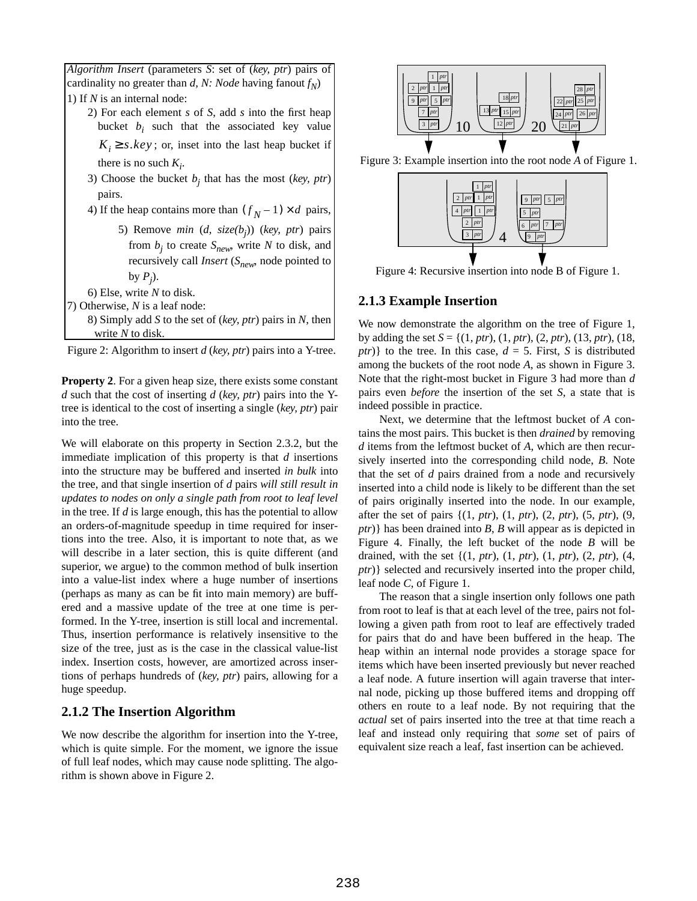*Algorithm Insert* (parameters *S*: set of (*key, ptr*) pairs of cardinality no greater than  $d$ , *N: Node* having fanout  $f_N$ ) 1) If *N* is an internal node: 2) For each element *s* of *S*, add *s* into the first heap bucket  $b_i$  such that the associated key value  $K_i \geq s \cdot key$ ; or, inset into the last heap bucket if there is no such  $K_i$ . 3) Choose the bucket  $b_i$  that has the most (*key, ptr*) pairs. 4) If the heap contains more than  $(f_N - 1) \times d$  pairs, 5) Remove *min* (*d, size(bj* )) (*key, ptr*) pairs from  $b_j$  to create  $S_{new}$ , write N to disk, and recursively call *Insert* ( $S_{new}$ , node pointed to by  $P_j$ ). 6) Else, write *N* to disk. 7) Otherwise, *N* is a leaf node: 8) Simply add *S* to the set of (*key, ptr*) pairs in *N*, then write *N* to disk.



**Property 2**. For a given heap size, there exists some constant *d* such that the cost of inserting *d* (*key, ptr*) pairs into the Ytree is identical to the cost of inserting a single (*key, ptr*) pair into the tree.

We will elaborate on this property in Section 2.3.2, but the immediate implication of this property is that *d* insertions into the structure may be buffered and inserted *in bulk* into the tree, and that single insertion of *d* pairs *will still result in updates to nodes on only a single path from root to leaf level* in the tree. If *d* is large enough, this has the potential to allow an orders-of-magnitude speedup in time required for insertions into the tree. Also, it is important to note that, as we will describe in a later section, this is quite different (and superior, we argue) to the common method of bulk insertion into a value-list index where a huge number of insertions (perhaps as many as can be fit into main memory) are buffered and a massive update of the tree at one time is performed. In the Y-tree, insertion is still local and incremental. Thus, insertion performance is relatively insensitive to the size of the tree, just as is the case in the classical value-list index. Insertion costs, however, are amortized across insertions of perhaps hundreds of (*key, ptr*) pairs, allowing for a huge speedup.

### **2.1.2 The Insertion Algorithm**

We now describe the algorithm for insertion into the Y-tree, which is quite simple. For the moment, we ignore the issue of full leaf nodes, which may cause node splitting. The algorithm is shown above in Figure 2.



Figure 3: Example insertion into the root node *A* of Figure 1.



Figure 4: Recursive insertion into node B of Figure 1.

## **2.1.3 Example Insertion**

We now demonstrate the algorithm on the tree of Figure 1, by adding the set  $S = \{(1, ptr), (1, ptr), (2, ptr), (13, ptr), (18,$ *ptr*)} to the tree. In this case,  $d = 5$ . First, *S* is distributed among the buckets of the root node *A*, as shown in Figure 3. Note that the right-most bucket in Figure 3 had more than *d* pairs even *before* the insertion of the set *S*, a state that is indeed possible in practice.

Next, we determine that the leftmost bucket of *A* contains the most pairs. This bucket is then *drained* by removing *d* items from the leftmost bucket of *A*, which are then recursively inserted into the corresponding child node, *B*. Note that the set of *d* pairs drained from a node and recursively inserted into a child node is likely to be different than the set of pairs originally inserted into the node. In our example, after the set of pairs {(1, *ptr*), (1, *ptr*), (2, *ptr*), (5, *ptr*), (9, *ptr*)} has been drained into *B*, *B* will appear as is depicted in Figure 4. Finally, the left bucket of the node *B* will be drained, with the set {(1, *ptr*), (1, *ptr*), (1, *ptr*), (2, *ptr*), (4, *ptr*)} selected and recursively inserted into the proper child, leaf node *C*, of Figure 1.

The reason that a single insertion only follows one path from root to leaf is that at each level of the tree, pairs not following a given path from root to leaf are effectively traded for pairs that do and have been buffered in the heap. The heap within an internal node provides a storage space for items which have been inserted previously but never reached a leaf node. A future insertion will again traverse that internal node, picking up those buffered items and dropping off others en route to a leaf node. By not requiring that the *actual* set of pairs inserted into the tree at that time reach a leaf and instead only requiring that *some* set of pairs of equivalent size reach a leaf, fast insertion can be achieved.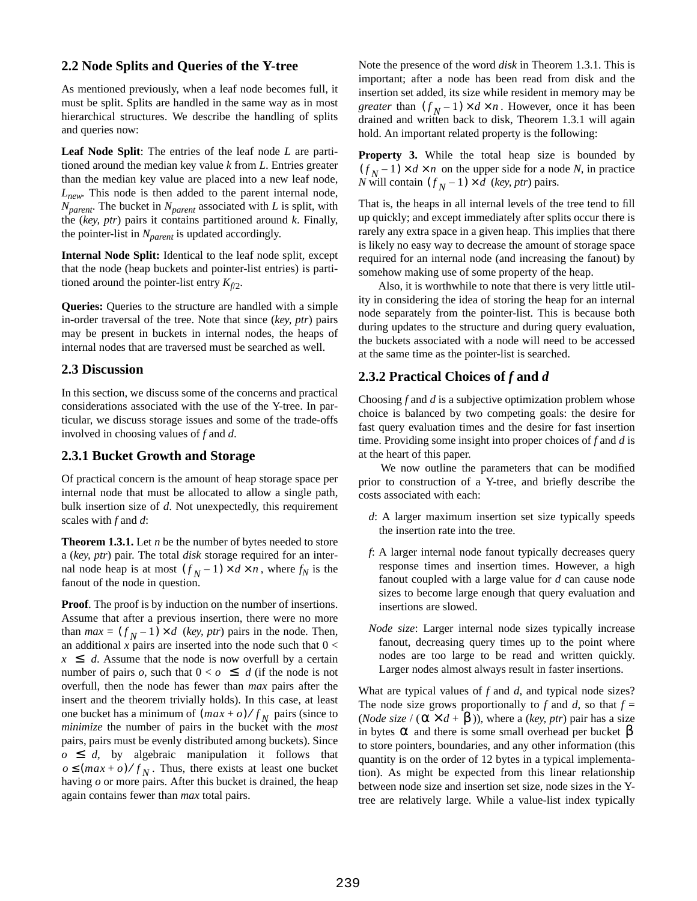### **2.2 Node Splits and Queries of the Y-tree**

As mentioned previously, when a leaf node becomes full, it must be split. Splits are handled in the same way as in most hierarchical structures. We describe the handling of splits and queries now:

**Leaf Node Split**: The entries of the leaf node *L* are partitioned around the median key value *k* from *L*. Entries greater than the median key value are placed into a new leaf node, *Lnew*. This node is then added to the parent internal node, *Nparent*. The bucket in *Nparent* associated with *L* is split, with the (*key, ptr*) pairs it contains partitioned around *k*. Finally, the pointer-list in  $N_{parent}$  is updated accordingly.

**Internal Node Split:** Identical to the leaf node split, except that the node (heap buckets and pointer-list entries) is partitioned around the pointer-list entry  $K_{f/2}$ .

**Queries:** Queries to the structure are handled with a simple in-order traversal of the tree. Note that since (*key, ptr*) pairs may be present in buckets in internal nodes, the heaps of internal nodes that are traversed must be searched as well.

### **2.3 Discussion**

In this section, we discuss some of the concerns and practical considerations associated with the use of the Y-tree. In particular, we discuss storage issues and some of the trade-offs involved in choosing values of *f* and *d*.

### **2.3.1 Bucket Growth and Storage**

Of practical concern is the amount of heap storage space per internal node that must be allocated to allow a single path, bulk insertion size of *d*. Not unexpectedly, this requirement scales with *f* and *d*:

**Theorem 1.3.1.** Let *n* be the number of bytes needed to store a (*key, ptr*) pair. The total *disk* storage required for an internal node heap is at most  $(f_N - 1) \times d \times n$ , where  $f_N$  is the fanout of the node in question.

**Proof**. The proof is by induction on the number of insertions. Assume that after a previous insertion, there were no more than  $max = (f_N - 1) \times d$  (key, ptr) pairs in the node. Then, an additional *x* pairs are inserted into the node such that  $0 <$  $x \leq d$ . Assume that the node is now overfull by a certain number of pairs *o*, such that  $0 < o \le d$  (if the node is not overfull, then the node has fewer than *max* pairs after the insert and the theorem trivially holds). In this case, at least one bucket has a minimum of  $(max + o) / f_N$  pairs (since to *minimize* the number of pairs in the bucket with the *most* pairs, pairs must be evenly distributed among buckets). Since  $o \leq d$ , by algebraic manipulation it follows that  $o \leq (max + o) / f_N$ . Thus, there exists at least one bucket having *o* or more pairs. After this bucket is drained, the heap again contains fewer than *max* total pairs.

Note the presence of the word *disk* in Theorem 1.3.1. This is important; after a node has been read from disk and the insertion set added, its size while resident in memory may be *greater* than  $(f_N - 1) \times d \times n$ . However, once it has been drained and written back to disk, Theorem 1.3.1 will again hold. An important related property is the following:

**Property 3.** While the total heap size is bounded by  $(f_{N-1}) \times d \times n$  on the upper side for a node *N*, in practice *N* will contain  $(f_N - 1) \times d$  (*key, ptr*) pairs.

That is, the heaps in all internal levels of the tree tend to fill up quickly; and except immediately after splits occur there is rarely any extra space in a given heap. This implies that there is likely no easy way to decrease the amount of storage space required for an internal node (and increasing the fanout) by somehow making use of some property of the heap.

Also, it is worthwhile to note that there is very little utility in considering the idea of storing the heap for an internal node separately from the pointer-list. This is because both during updates to the structure and during query evaluation, the buckets associated with a node will need to be accessed at the same time as the pointer-list is searched.

## **2.3.2 Practical Choices of** *f* **and** *d*

Choosing *f* and *d* is a subjective optimization problem whose choice is balanced by two competing goals: the desire for fast query evaluation times and the desire for fast insertion time. Providing some insight into proper choices of *f* and *d* is at the heart of this paper.

We now outline the parameters that can be modified prior to construction of a Y-tree, and briefly describe the costs associated with each:

- *d*: A larger maximum insertion set size typically speeds the insertion rate into the tree.
- *f*: A larger internal node fanout typically decreases query response times and insertion times. However, a high fanout coupled with a large value for *d* can cause node sizes to become large enough that query evaluation and insertions are slowed.
- *Node size*: Larger internal node sizes typically increase fanout, decreasing query times up to the point where nodes are too large to be read and written quickly. Larger nodes almost always result in faster insertions.

What are typical values of *f* and *d,* and typical node sizes? The node size grows proportionally to  $f$  and  $d$ , so that  $f =$ (*Node size* /  $(\alpha \times d + \beta)$ ), where a (*key, ptr*) pair has a size in bytes  $\alpha$  and there is some small overhead per bucket  $\beta$ to store pointers, boundaries, and any other information (this quantity is on the order of 12 bytes in a typical implementation). As might be expected from this linear relationship between node size and insertion set size, node sizes in the Ytree are relatively large. While a value-list index typically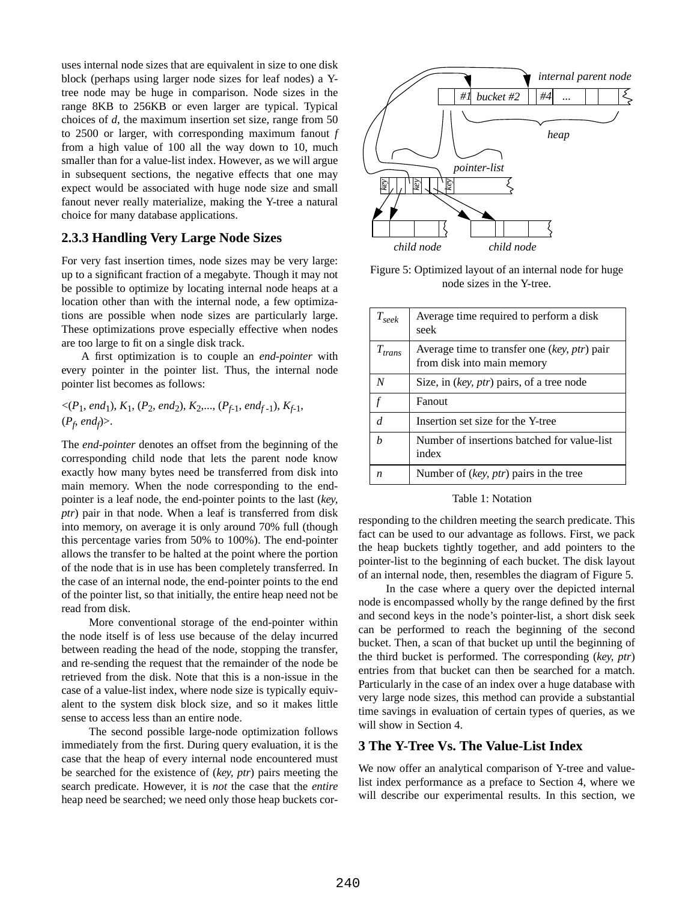uses internal node sizes that are equivalent in size to one disk block (perhaps using larger node sizes for leaf nodes) a Ytree node may be huge in comparison. Node sizes in the range 8KB to 256KB or even larger are typical. Typical choices of *d*, the maximum insertion set size, range from 50 to 2500 or larger, with corresponding maximum fanout *f* from a high value of 100 all the way down to 10, much smaller than for a value-list index. However, as we will argue in subsequent sections, the negative effects that one may expect would be associated with huge node size and small fanout never really materialize, making the Y-tree a natural choice for many database applications.

## **2.3.3 Handling Very Large Node Sizes**

For very fast insertion times, node sizes may be very large: up to a significant fraction of a megabyte. Though it may not be possible to optimize by locating internal node heaps at a location other than with the internal node, a few optimizations are possible when node sizes are particularly large. These optimizations prove especially effective when nodes are too large to fit on a single disk track.

A first optimization is to couple an *end-pointer* with every pointer in the pointer list. Thus, the internal node pointer list becomes as follows:

$$
\langle (P_1, end_1), K_1, (P_2, end_2), K_2, \ldots, (P_{f-1}, end_{f-1}), K_{f-1}, (P_f, end_f) \rangle.
$$

The *end-pointer* denotes an offset from the beginning of the corresponding child node that lets the parent node know exactly how many bytes need be transferred from disk into main memory. When the node corresponding to the endpointer is a leaf node, the end-pointer points to the last (*key, ptr*) pair in that node. When a leaf is transferred from disk into memory, on average it is only around 70% full (though this percentage varies from 50% to 100%). The end-pointer allows the transfer to be halted at the point where the portion of the node that is in use has been completely transferred. In the case of an internal node, the end-pointer points to the end of the pointer list, so that initially, the entire heap need not be read from disk.

More conventional storage of the end-pointer within the node itself is of less use because of the delay incurred between reading the head of the node, stopping the transfer, and re-sending the request that the remainder of the node be retrieved from the disk. Note that this is a non-issue in the case of a value-list index, where node size is typically equivalent to the system disk block size, and so it makes little sense to access less than an entire node.

The second possible large-node optimization follows immediately from the first. During query evaluation, it is the case that the heap of every internal node encountered must be searched for the existence of (*key, ptr*) pairs meeting the search predicate. However, it is *not* the case that the *entire* heap need be searched; we need only those heap buckets cor-



Figure 5: Optimized layout of an internal node for huge node sizes in the Y-tree.

| $T_{seek}$       | Average time required to perform a disk<br>seek                            |
|------------------|----------------------------------------------------------------------------|
| $T_{trans}$      | Average time to transfer one (key, ptr) pair<br>from disk into main memory |
| $\overline{N}$   | Size, in (key, ptr) pairs, of a tree node                                  |
|                  | Fanout                                                                     |
| d                | Insertion set size for the Y-tree                                          |
| h                | Number of insertions batched for value-list<br>index                       |
| $\boldsymbol{n}$ | Number of $(key,ptr)$ pairs in the tree                                    |

#### Table 1: Notation

responding to the children meeting the search predicate. This fact can be used to our advantage as follows. First, we pack the heap buckets tightly together, and add pointers to the pointer-list to the beginning of each bucket. The disk layout of an internal node, then, resembles the diagram of Figure 5.

In the case where a query over the depicted internal node is encompassed wholly by the range defined by the first and second keys in the node's pointer-list, a short disk seek can be performed to reach the beginning of the second bucket. Then, a scan of that bucket up until the beginning of the third bucket is performed. The corresponding (*key, ptr*) entries from that bucket can then be searched for a match. Particularly in the case of an index over a huge database with very large node sizes, this method can provide a substantial time savings in evaluation of certain types of queries, as we will show in Section 4.

## **3 The Y-Tree Vs. The Value-List Index**

We now offer an analytical comparison of Y-tree and valuelist index performance as a preface to Section 4, where we will describe our experimental results. In this section, we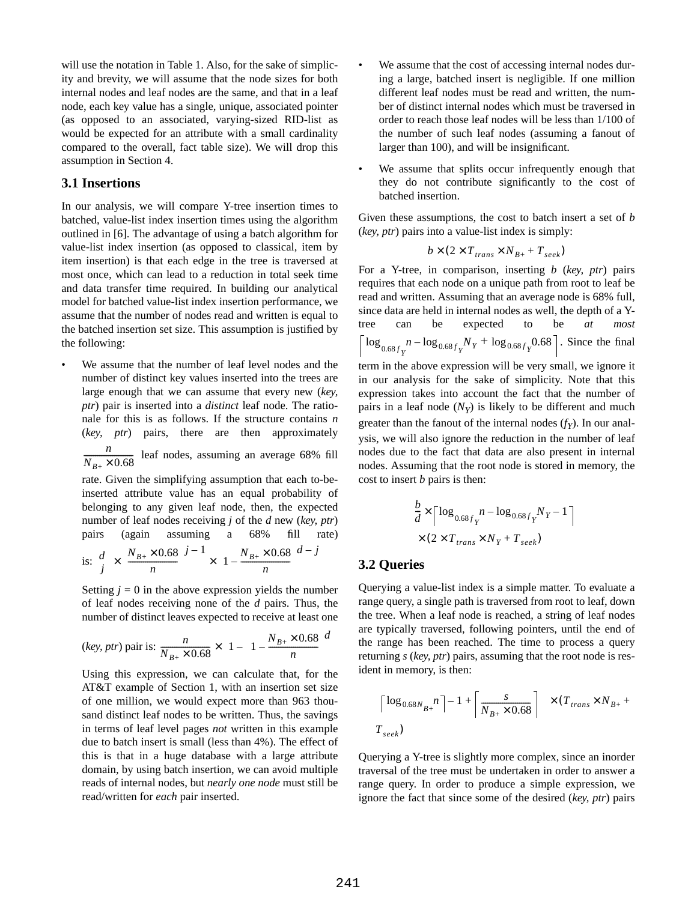will use the notation in Table 1. Also, for the sake of simplicity and brevity, we will assume that the node sizes for both internal nodes and leaf nodes are the same, and that in a leaf node, each key value has a single, unique, associated pointer (as opposed to an associated, varying-sized RID-list as would be expected for an attribute with a small cardinality compared to the overall, fact table size). We will drop this assumption in Section 4.

#### **3.1 Insertions**

In our analysis, we will compare Y-tree insertion times to batched, value-list index insertion times using the algorithm outlined in [6]. The advantage of using a batch algorithm for value-list index insertion (as opposed to classical, item by item insertion) is that each edge in the tree is traversed at most once, which can lead to a reduction in total seek time and data transfer time required. In building our analytical model for batched value-list index insertion performance, we assume that the number of nodes read and written is equal to the batched insertion set size. This assumption is justified by the following:

We assume that the number of leaf level nodes and the number of distinct key values inserted into the trees are large enough that we can assume that every new (*key, ptr*) pair is inserted into a *distinct* leaf node. The rationale for this is as follows. If the structure contains *n* (*key, ptr*) pairs, there are then approximately  $\frac{n}{N_{B+} \times 0.68}$  leaf nodes, assuming an average 68% fill rate. Given the simplifying assumption that each to-be-

inserted attribute value has an equal probability of belonging to any given leaf node, then, the expected number of leaf nodes receiving *j* of the *d* new (*key, ptr*) pairs (again assuming a 68% fill rate)

is: 
$$
\binom{d}{j} \times \left(\frac{N_{B+} \times 0.68}{n}\right)^{j-1} \times \left(1 - \frac{N_{B+} \times 0.68}{n}\right)^{d-j}
$$

Setting  $j = 0$  in the above expression yields the number of leaf nodes receiving none of the *d* pairs. Thus, the number of distinct leaves expected to receive at least one

(*key, ptr*) pair is: 
$$
\frac{n}{N_{B+} \times 0.68} \times \left(1 - \left(1 - \frac{N_{B+} \times 0.68}{n}\right)^d\right)
$$

Using this expression, we can calculate that, for the AT&T example of Section 1, with an insertion set size of one million, we would expect more than 963 thousand distinct leaf nodes to be written. Thus, the savings in terms of leaf level pages *not* written in this example due to batch insert is small (less than 4%). The effect of this is that in a huge database with a large attribute domain, by using batch insertion, we can avoid multiple reads of internal nodes, but *nearly one node* must still be read/written for *each* pair inserted.

- We assume that the cost of accessing internal nodes during a large, batched insert is negligible. If one million different leaf nodes must be read and written, the number of distinct internal nodes which must be traversed in order to reach those leaf nodes will be less than 1/100 of the number of such leaf nodes (assuming a fanout of larger than 100), and will be insignificant.
- We assume that splits occur infrequently enough that they do not contribute significantly to the cost of batched insertion.

Given these assumptions, the cost to batch insert a set of *b* (*key, ptr*) pairs into a value-list index is simply:

$$
b \times (2 \times T_{trans} \times N_{B+} + T_{seek})
$$

For a Y-tree, in comparison, inserting *b* (*key, ptr*) pairs requires that each node on a unique path from root to leaf be read and written. Assuming that an average node is 68% full, since data are held in internal nodes as well, the depth of a Ytree can be expected to be *at most*  $\log_{0.68 f_{\gamma}} n - \log_{0.68 f_{\gamma}} N_{\gamma} + \log_{0.68 f_{\gamma}} 0.68$ . Since the final term in the above expression will be very small, we ignore it

in our analysis for the sake of simplicity. Note that this expression takes into account the fact that the number of pairs in a leaf node  $(N<sub>V</sub>)$  is likely to be different and much greater than the fanout of the internal nodes  $(f<sub>V</sub>)$ . In our analysis, we will also ignore the reduction in the number of leaf nodes due to the fact that data are also present in internal nodes. Assuming that the root node is stored in memory, the cost to insert *b* pairs is then:

$$
\frac{b}{d} \times \left\lceil \log_{0.68f_Y} n - \log_{0.68f_Y} N_Y - 1 \right\rceil
$$
  
× $(2 \times T_{trans} \times N_Y + T_{seek})$ 

## **3.2 Queries**

Querying a value-list index is a simple matter. To evaluate a range query, a single path is traversed from root to leaf, down the tree. When a leaf node is reached, a string of leaf nodes are typically traversed, following pointers, until the end of the range has been reached. The time to process a query returning *s* (*key, ptr*) pairs, assuming that the root node is resident in memory, is then:

$$
\left(\left\lceil \log_{0.68N_{B+}} n \right\rceil - 1 + \left\lceil \frac{s}{N_{B+} \times 0.68} \right\rceil \right) \times (T_{trans} \times N_{B+} + T_{seek})
$$

Querying a Y-tree is slightly more complex, since an inorder traversal of the tree must be undertaken in order to answer a range query. In order to produce a simple expression, we ignore the fact that since some of the desired (*key, ptr*) pairs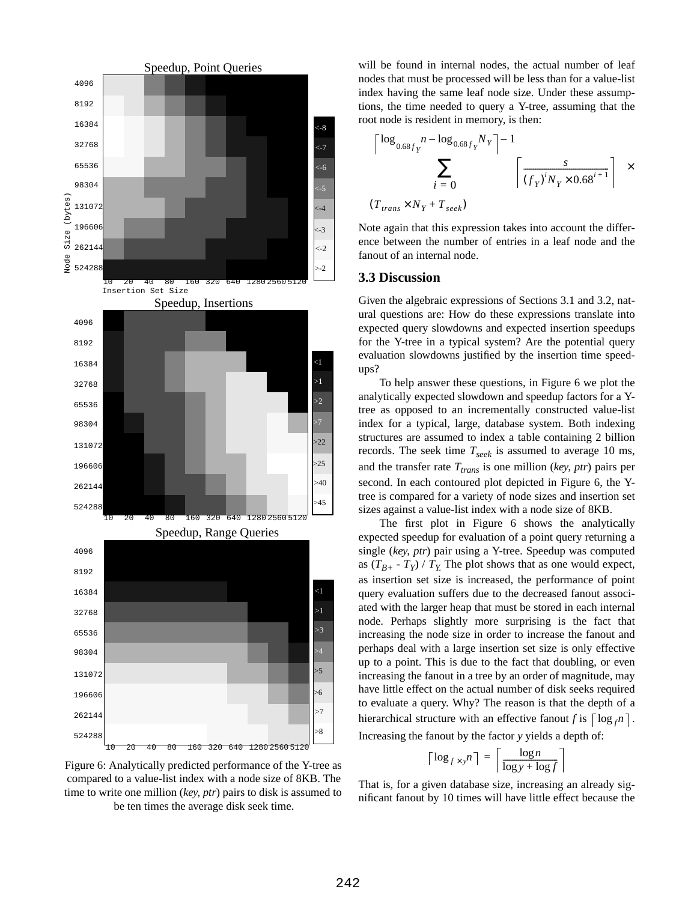

Figure 6: Analytically predicted performance of the Y-tree as compared to a value-list index with a node size of 8KB. The time to write one million (*key, ptr*) pairs to disk is assumed to be ten times the average disk seek time.

will be found in internal nodes, the actual number of leaf nodes that must be processed will be less than for a value-list index having the same leaf node size. Under these assumptions, the time needed to query a Y-tree, assuming that the root node is resident in memory, is then:

$$
\left(\begin{bmatrix} \log_{0.68f_Y} n - \log_{0.68f_Y} N_Y \log_{10} 1 & 0 \\ \sum_{i=0}^{k-1} \left( \frac{s}{(f_Y)^i N_Y \times 0.68^{i+1}} \right) \right) \times \\ T_{trans} \times N_Y + T_{seek} \end{bmatrix}
$$

Note again that this expression takes into account the difference between the number of entries in a leaf node and the fanout of an internal node.

### **3.3 Discussion**

Given the algebraic expressions of Sections 3.1 and 3.2, natural questions are: How do these expressions translate into expected query slowdowns and expected insertion speedups for the Y-tree in a typical system? Are the potential query evaluation slowdowns justified by the insertion time speedups?

To help answer these questions, in Figure 6 we plot the analytically expected slowdown and speedup factors for a Ytree as opposed to an incrementally constructed value-list index for a typical, large, database system. Both indexing structures are assumed to index a table containing 2 billion records. The seek time  $T_{seek}$  is assumed to average 10 ms, and the transfer rate  $T_{trans}$  is one million (*key, ptr*) pairs per second. In each contoured plot depicted in Figure 6, the Ytree is compared for a variety of node sizes and insertion set sizes against a value-list index with a node size of 8KB.

The first plot in Figure 6 shows the analytically expected speedup for evaluation of a point query returning a single (*key, ptr*) pair using a Y-tree. Speedup was computed as  $(T_{B+} - T_Y) / T_Y$ . The plot shows that as one would expect, as insertion set size is increased, the performance of point query evaluation suffers due to the decreased fanout associated with the larger heap that must be stored in each internal node. Perhaps slightly more surprising is the fact that increasing the node size in order to increase the fanout and perhaps deal with a large insertion set size is only effective up to a point. This is due to the fact that doubling, or even increasing the fanout in a tree by an order of magnitude, may have little effect on the actual number of disk seeks required to evaluate a query. Why? The reason is that the depth of a hierarchical structure with an effective fanout *f* is  $\lceil \log_f n \rceil$ . Increasing the fanout by the factor *y* yields a depth of:

$$
\lceil \log_{f \times y} n \rceil = \left\lceil \frac{\log n}{\log y + \log f} \right\rceil
$$

That is, for a given database size, increasing an already significant fanout by 10 times will have little effect because the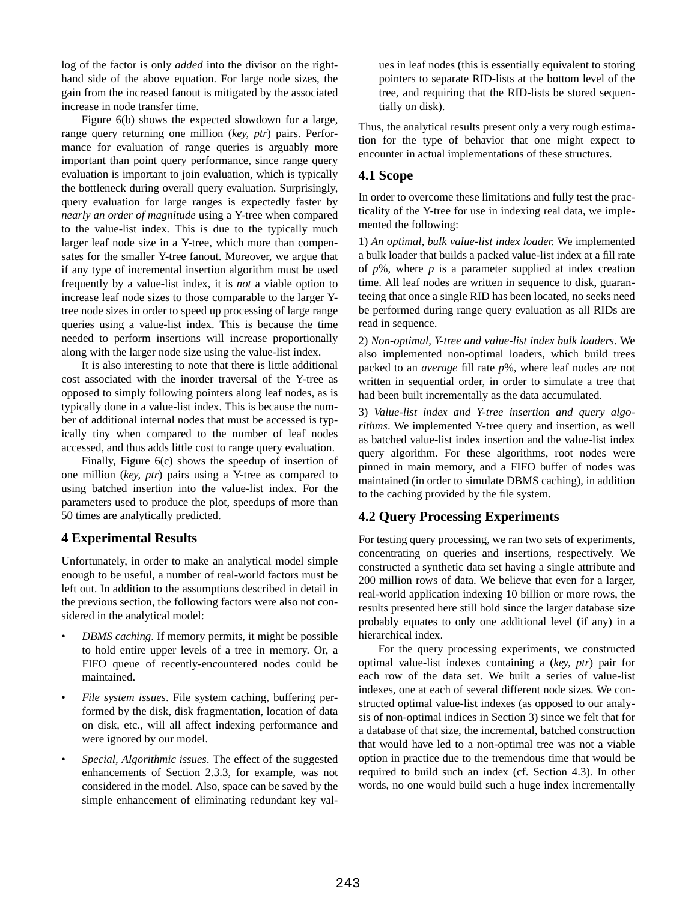log of the factor is only *added* into the divisor on the righthand side of the above equation. For large node sizes, the gain from the increased fanout is mitigated by the associated increase in node transfer time.

Figure 6(b) shows the expected slowdown for a large, range query returning one million (*key, ptr*) pairs. Performance for evaluation of range queries is arguably more important than point query performance, since range query evaluation is important to join evaluation, which is typically the bottleneck during overall query evaluation. Surprisingly, query evaluation for large ranges is expectedly faster by *nearly an order of magnitude* using a Y-tree when compared to the value-list index. This is due to the typically much larger leaf node size in a Y-tree, which more than compensates for the smaller Y-tree fanout. Moreover, we argue that if any type of incremental insertion algorithm must be used frequently by a value-list index, it is *not* a viable option to increase leaf node sizes to those comparable to the larger Ytree node sizes in order to speed up processing of large range queries using a value-list index. This is because the time needed to perform insertions will increase proportionally along with the larger node size using the value-list index.

It is also interesting to note that there is little additional cost associated with the inorder traversal of the Y-tree as opposed to simply following pointers along leaf nodes, as is typically done in a value-list index. This is because the number of additional internal nodes that must be accessed is typically tiny when compared to the number of leaf nodes accessed, and thus adds little cost to range query evaluation.

Finally, Figure 6(c) shows the speedup of insertion of one million (*key, ptr*) pairs using a Y-tree as compared to using batched insertion into the value-list index. For the parameters used to produce the plot, speedups of more than 50 times are analytically predicted.

## **4 Experimental Results**

Unfortunately, in order to make an analytical model simple enough to be useful, a number of real-world factors must be left out. In addition to the assumptions described in detail in the previous section, the following factors were also not considered in the analytical model:

- *DBMS caching*. If memory permits, it might be possible to hold entire upper levels of a tree in memory. Or, a FIFO queue of recently-encountered nodes could be maintained.
- *File system issues*. File system caching, buffering performed by the disk, disk fragmentation, location of data on disk, etc., will all affect indexing performance and were ignored by our model.
- *Special, Algorithmic issues*. The effect of the suggested enhancements of Section 2.3.3, for example, was not considered in the model. Also, space can be saved by the simple enhancement of eliminating redundant key val-

ues in leaf nodes (this is essentially equivalent to storing pointers to separate RID-lists at the bottom level of the tree, and requiring that the RID-lists be stored sequentially on disk).

Thus, the analytical results present only a very rough estimation for the type of behavior that one might expect to encounter in actual implementations of these structures.

## **4.1 Scope**

In order to overcome these limitations and fully test the practicality of the Y-tree for use in indexing real data, we implemented the following:

1) *An optimal, bulk value-list index loader.* We implemented a bulk loader that builds a packed value-list index at a fill rate of *p*%, where *p* is a parameter supplied at index creation time. All leaf nodes are written in sequence to disk, guaranteeing that once a single RID has been located, no seeks need be performed during range query evaluation as all RIDs are read in sequence.

2) *Non-optimal, Y-tree and value-list index bulk loaders*. We also implemented non-optimal loaders, which build trees packed to an *average* fill rate *p*%, where leaf nodes are not written in sequential order, in order to simulate a tree that had been built incrementally as the data accumulated.

3) *Value-list index and Y-tree insertion and query algorithms*. We implemented Y-tree query and insertion, as well as batched value-list index insertion and the value-list index query algorithm. For these algorithms, root nodes were pinned in main memory, and a FIFO buffer of nodes was maintained (in order to simulate DBMS caching), in addition to the caching provided by the file system.

## **4.2 Query Processing Experiments**

For testing query processing, we ran two sets of experiments, concentrating on queries and insertions, respectively. We constructed a synthetic data set having a single attribute and 200 million rows of data. We believe that even for a larger, real-world application indexing 10 billion or more rows, the results presented here still hold since the larger database size probably equates to only one additional level (if any) in a hierarchical index.

For the query processing experiments, we constructed optimal value-list indexes containing a (*key, ptr*) pair for each row of the data set. We built a series of value-list indexes, one at each of several different node sizes. We constructed optimal value-list indexes (as opposed to our analysis of non-optimal indices in Section 3) since we felt that for a database of that size, the incremental, batched construction that would have led to a non-optimal tree was not a viable option in practice due to the tremendous time that would be required to build such an index (cf. Section 4.3). In other words, no one would build such a huge index incrementally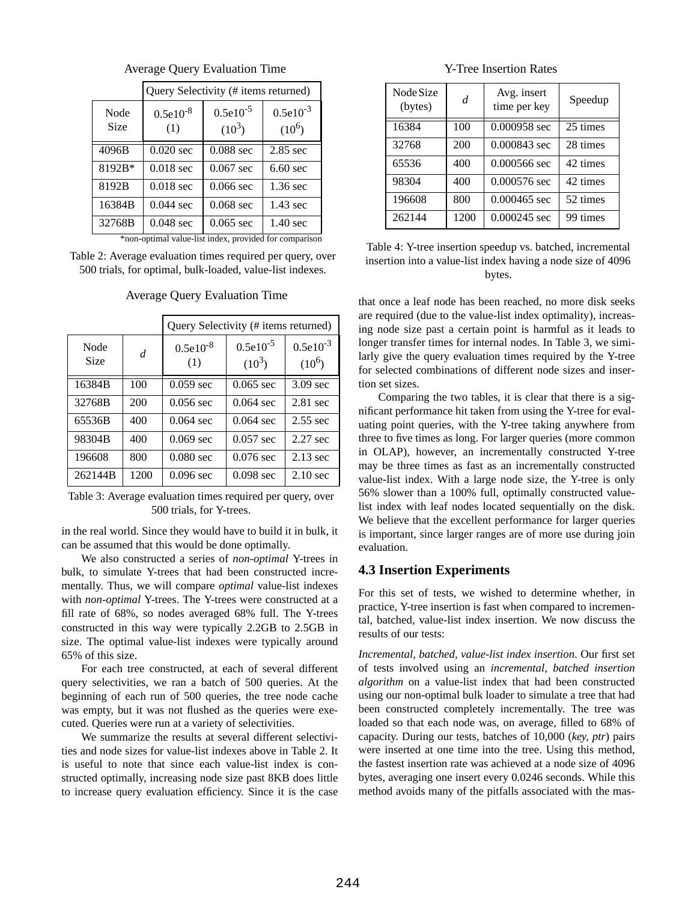|              | Query Selectivity (# items returned) |                           |                           |  |  |
|--------------|--------------------------------------|---------------------------|---------------------------|--|--|
| Node<br>Size | $0.5e10^{-8}$<br>(1)                 | $0.5e10^{-5}$<br>$(10^3)$ | $0.5e10^{-3}$<br>$(10^6)$ |  |  |
| 4096B        | $0.020$ sec                          | 0.088 sec                 | $2.85$ sec                |  |  |
| 8192B*       | $0.018$ sec                          | $0.067$ sec               | $6.60$ sec                |  |  |
| 8192B        | $0.018$ sec                          | $0.066$ sec               | $1.36 \text{ sec}$        |  |  |
| 16384B       | $0.044$ sec                          | $0.068$ sec               | $1.43 \text{ sec}$        |  |  |
| 32768B       | $0.048$ sec                          | $0.065$ sec               | $1.40 \text{ sec}$        |  |  |

Average Query Evaluation Time

\*non-optimal value-list index, provided for comparison

Table 2: Average evaluation times required per query, over 500 trials, for optimal, bulk-loaded, value-list indexes.

|                     |                | Query Selectivity (# items returned) |                           |                           |  |
|---------------------|----------------|--------------------------------------|---------------------------|---------------------------|--|
| Node<br><b>Size</b> | $\overline{d}$ | $0.5e10^{-8}$<br>(1)                 | $0.5e10^{-5}$<br>$(10^3)$ | $0.5e10^{-3}$<br>$(10^6)$ |  |
| 16384B              | 100            | $0.059$ sec                          | $0.065 \text{ sec}$       | $3.09$ sec                |  |
| 32768B              | 200            | $0.056$ sec                          | $0.064$ sec               | $2.81$ sec                |  |
| 65536B              | 400            | $0.064$ sec                          | $0.064$ sec               | $2.55$ sec                |  |
| 98304B              | 400            | $0.069$ sec                          | $0.057$ sec               | $2.27$ sec                |  |
| 196608              | 800            | $0.080$ sec                          | $0.076$ sec               | $2.13 \text{ sec}$        |  |
| 262144B             | 1200           | $0.096$ sec                          | $0.098$ sec               | $2.10$ sec                |  |

Average Query Evaluation Time

Table 3: Average evaluation times required per query, over 500 trials, for Y-trees.

in the real world. Since they would have to build it in bulk, it can be assumed that this would be done optimally.

We also constructed a series of *non-optimal* Y-trees in bulk, to simulate Y-trees that had been constructed incrementally. Thus, we will compare *optimal* value-list indexes with *non-optimal* Y-trees. The Y-trees were constructed at a fill rate of 68%, so nodes averaged 68% full. The Y-trees constructed in this way were typically 2.2GB to 2.5GB in size. The optimal value-list indexes were typically around 65% of this size.

For each tree constructed, at each of several different query selectivities, we ran a batch of 500 queries. At the beginning of each run of 500 queries, the tree node cache was empty, but it was not flushed as the queries were executed. Queries were run at a variety of selectivities.

We summarize the results at several different selectivities and node sizes for value-list indexes above in Table 2. It is useful to note that since each value-list index is constructed optimally, increasing node size past 8KB does little to increase query evaluation efficiency. Since it is the case

### Y-Tree Insertion Rates

| Node Size<br>(bytes) | d    | Avg. insert<br>time per key | Speedup  |
|----------------------|------|-----------------------------|----------|
| 16384                | 100  | $0.000958$ sec              | 25 times |
| 32768                | 200  | 0.000843 sec                | 28 times |
| 65536                | 400  | 0.000566 sec                | 42 times |
| 98304                | 400  | 0.000576 sec                | 42 times |
| 196608               | 800  | 0.000465 sec                | 52 times |
| 262144               | 1200 | $0.000245$ sec              | 99 times |

Table 4: Y-tree insertion speedup vs. batched, incremental insertion into a value-list index having a node size of 4096 bytes.

that once a leaf node has been reached, no more disk seeks are required (due to the value-list index optimality), increasing node size past a certain point is harmful as it leads to longer transfer times for internal nodes. In Table 3, we similarly give the query evaluation times required by the Y-tree for selected combinations of different node sizes and insertion set sizes.

Comparing the two tables, it is clear that there is a significant performance hit taken from using the Y-tree for evaluating point queries, with the Y-tree taking anywhere from three to five times as long. For larger queries (more common in OLAP), however, an incrementally constructed Y-tree may be three times as fast as an incrementally constructed value-list index. With a large node size, the Y-tree is only 56% slower than a 100% full, optimally constructed valuelist index with leaf nodes located sequentially on the disk. We believe that the excellent performance for larger queries is important, since larger ranges are of more use during join evaluation.

## **4.3 Insertion Experiments**

For this set of tests, we wished to determine whether, in practice, Y-tree insertion is fast when compared to incremental, batched, value-list index insertion. We now discuss the results of our tests:

*Incremental, batched, value-list index insertion*. Our first set of tests involved using an *incremental, batched insertion algorithm* on a value-list index that had been constructed using our non-optimal bulk loader to simulate a tree that had been constructed completely incrementally. The tree was loaded so that each node was, on average, filled to 68% of capacity. During our tests, batches of 10,000 (*key, ptr*) pairs were inserted at one time into the tree. Using this method, the fastest insertion rate was achieved at a node size of 4096 bytes, averaging one insert every 0.0246 seconds. While this method avoids many of the pitfalls associated with the mas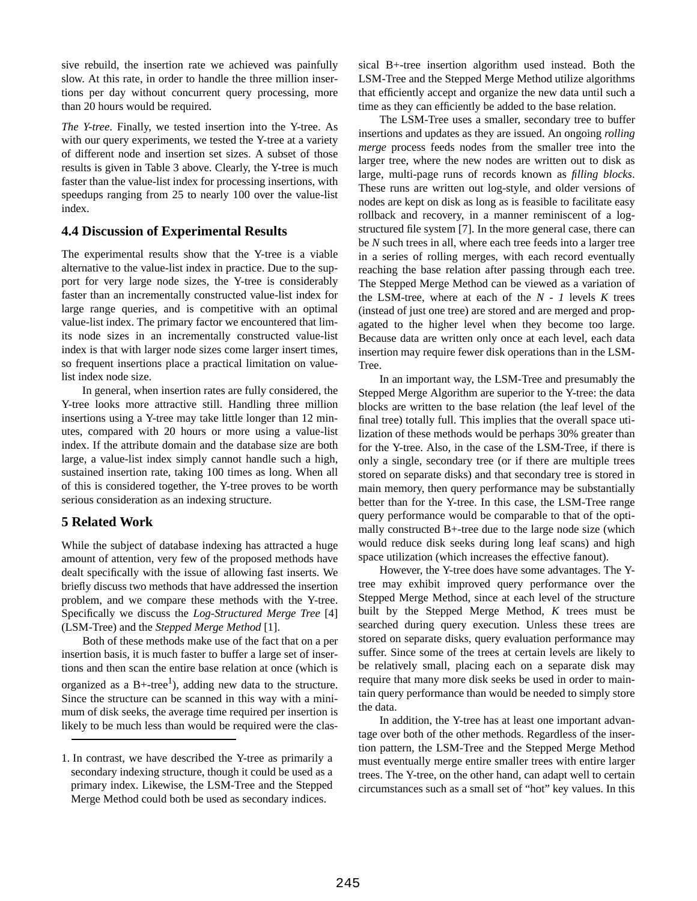sive rebuild, the insertion rate we achieved was painfully slow. At this rate, in order to handle the three million insertions per day without concurrent query processing, more than 20 hours would be required.

*The Y-tree*. Finally, we tested insertion into the Y-tree. As with our query experiments, we tested the Y-tree at a variety of different node and insertion set sizes. A subset of those results is given in Table 3 above. Clearly, the Y-tree is much faster than the value-list index for processing insertions, with speedups ranging from 25 to nearly 100 over the value-list index.

## **4.4 Discussion of Experimental Results**

The experimental results show that the Y-tree is a viable alternative to the value-list index in practice. Due to the support for very large node sizes, the Y-tree is considerably faster than an incrementally constructed value-list index for large range queries, and is competitive with an optimal value-list index. The primary factor we encountered that limits node sizes in an incrementally constructed value-list index is that with larger node sizes come larger insert times, so frequent insertions place a practical limitation on valuelist index node size.

In general, when insertion rates are fully considered, the Y-tree looks more attractive still. Handling three million insertions using a Y-tree may take little longer than 12 minutes, compared with 20 hours or more using a value-list index. If the attribute domain and the database size are both large, a value-list index simply cannot handle such a high, sustained insertion rate, taking 100 times as long. When all of this is considered together, the Y-tree proves to be worth serious consideration as an indexing structure.

## **5 Related Work**

While the subject of database indexing has attracted a huge amount of attention, very few of the proposed methods have dealt specifically with the issue of allowing fast inserts. We briefly discuss two methods that have addressed the insertion problem, and we compare these methods with the Y-tree. Specifically we discuss the *Log-Structured Merge Tree* [4] (LSM-Tree) and the *Stepped Merge Method* [1].

Both of these methods make use of the fact that on a per insertion basis, it is much faster to buffer a large set of insertions and then scan the entire base relation at once (which is organized as a  $B+$ -tree<sup>1</sup>), adding new data to the structure. Since the structure can be scanned in this way with a minimum of disk seeks, the average time required per insertion is likely to be much less than would be required were the classical B+-tree insertion algorithm used instead. Both the LSM-Tree and the Stepped Merge Method utilize algorithms that efficiently accept and organize the new data until such a time as they can efficiently be added to the base relation.

The LSM-Tree uses a smaller, secondary tree to buffer insertions and updates as they are issued. An ongoing *rolling merge* process feeds nodes from the smaller tree into the larger tree, where the new nodes are written out to disk as large, multi-page runs of records known as *filling blocks*. These runs are written out log-style, and older versions of nodes are kept on disk as long as is feasible to facilitate easy rollback and recovery, in a manner reminiscent of a logstructured file system [7]. In the more general case, there can be *N* such trees in all, where each tree feeds into a larger tree in a series of rolling merges, with each record eventually reaching the base relation after passing through each tree. The Stepped Merge Method can be viewed as a variation of the LSM-tree, where at each of the  $N-1$  levels  $K$  trees (instead of just one tree) are stored and are merged and propagated to the higher level when they become too large. Because data are written only once at each level, each data insertion may require fewer disk operations than in the LSM-Tree.

In an important way, the LSM-Tree and presumably the Stepped Merge Algorithm are superior to the Y-tree: the data blocks are written to the base relation (the leaf level of the final tree) totally full. This implies that the overall space utilization of these methods would be perhaps 30% greater than for the Y-tree. Also, in the case of the LSM-Tree, if there is only a single, secondary tree (or if there are multiple trees stored on separate disks) and that secondary tree is stored in main memory, then query performance may be substantially better than for the Y-tree. In this case, the LSM-Tree range query performance would be comparable to that of the optimally constructed B+-tree due to the large node size (which would reduce disk seeks during long leaf scans) and high space utilization (which increases the effective fanout).

However, the Y-tree does have some advantages. The Ytree may exhibit improved query performance over the Stepped Merge Method, since at each level of the structure built by the Stepped Merge Method, *K* trees must be searched during query execution. Unless these trees are stored on separate disks, query evaluation performance may suffer. Since some of the trees at certain levels are likely to be relatively small, placing each on a separate disk may require that many more disk seeks be used in order to maintain query performance than would be needed to simply store the data.

In addition, the Y-tree has at least one important advantage over both of the other methods. Regardless of the insertion pattern, the LSM-Tree and the Stepped Merge Method must eventually merge entire smaller trees with entire larger trees. The Y-tree, on the other hand, can adapt well to certain circumstances such as a small set of "hot" key values. In this

<sup>1.</sup> In contrast, we have described the Y-tree as primarily a secondary indexing structure, though it could be used as a primary index. Likewise, the LSM-Tree and the Stepped Merge Method could both be used as secondary indices.